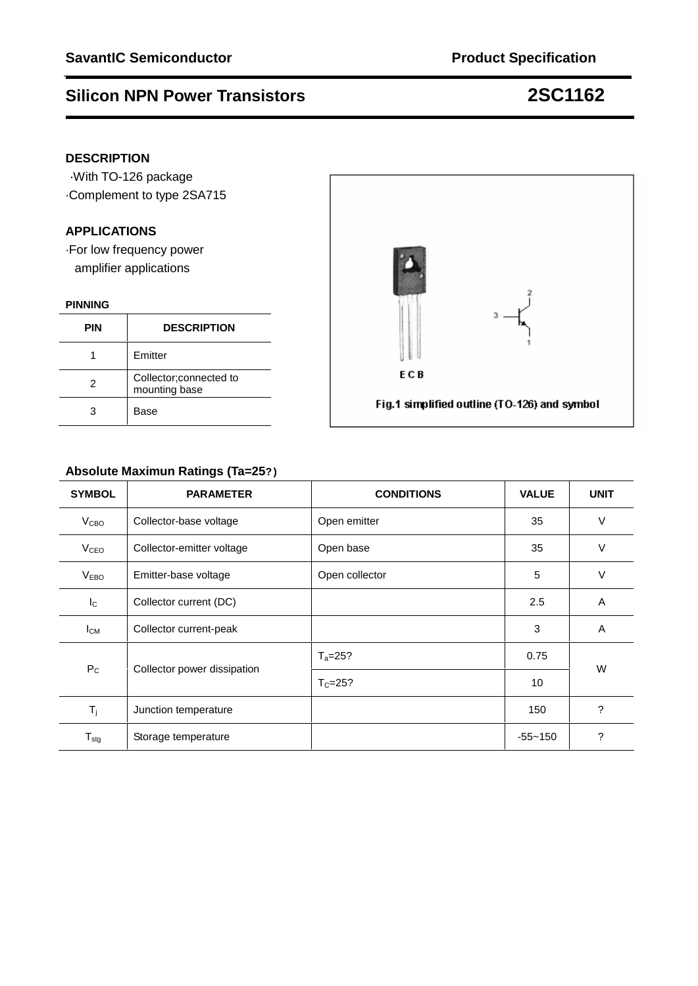### **DESCRIPTION**

·With TO-126 package ·Complement to type 2SA715

### **APPLICATIONS**

·For low frequency power amplifier applications

### **PINNING**

| <b>PIN</b> | <b>DESCRIPTION</b>                       |
|------------|------------------------------------------|
|            | Emitter                                  |
| 2          | Collector; connected to<br>mounting base |
|            | Base                                     |

## **Absolute Maximun Ratings (Ta=25?)**

| <b>SYMBOL</b>           | <b>PARAMETER</b>            | <b>CONDITIONS</b> | <b>VALUE</b> | <b>UNIT</b> |  |
|-------------------------|-----------------------------|-------------------|--------------|-------------|--|
| <b>V</b> <sub>CВО</sub> | Collector-base voltage      | Open emitter      | 35           | $\vee$      |  |
| <b>V<sub>CEO</sub></b>  | Collector-emitter voltage   | Open base         | 35           | V           |  |
| V <sub>EBO</sub>        | Emitter-base voltage        | Open collector    | 5            | $\vee$      |  |
| $I_{\rm C}$             | Collector current (DC)      |                   | 2.5          | A           |  |
| $I_{CM}$                | Collector current-peak      |                   | 3            | A           |  |
| $P_{C}$                 | Collector power dissipation | $T_a = 25?$       | 0.75         | W           |  |
|                         |                             | $T_c = 25?$       | 10           |             |  |
| $T_{j}$                 | Junction temperature        |                   | 150          | ?           |  |
| $T_{\text{stg}}$        | Storage temperature         |                   | $-55 - 150$  | ?           |  |

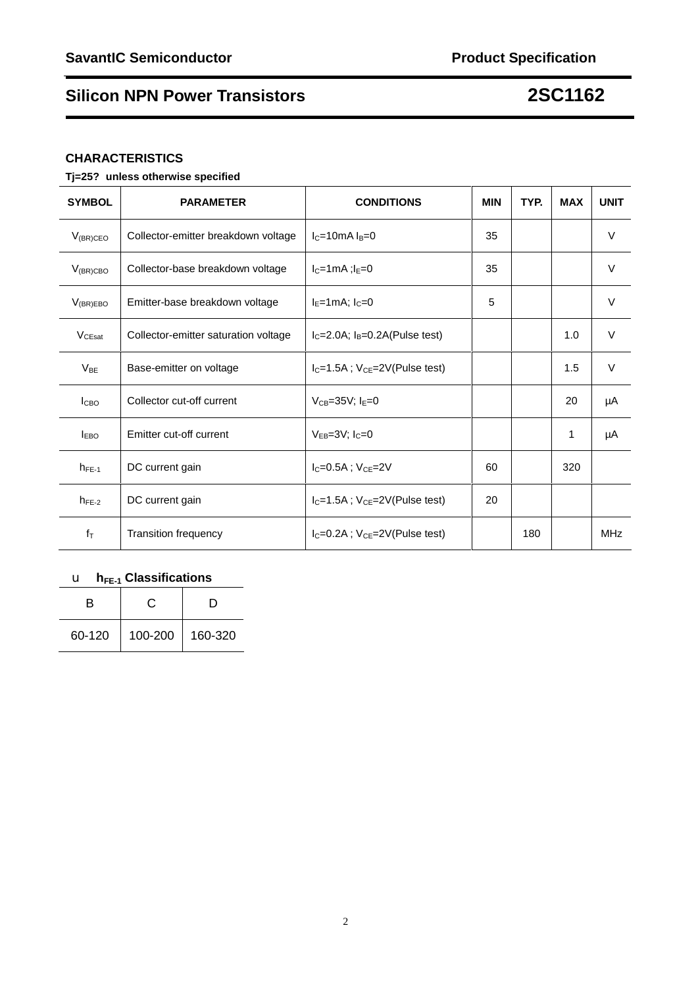## **CHARACTERISTICS**

## **Tj=25?unless otherwise specified**

| <b>SYMBOL</b>             | <b>PARAMETER</b>                     | <b>CONDITIONS</b>                        | <b>MIN</b> | TYP. | <b>MAX</b> | <b>UNIT</b> |
|---------------------------|--------------------------------------|------------------------------------------|------------|------|------------|-------------|
| $V_{(BR)CEO}$             | Collector-emitter breakdown voltage  | $lc=10mA$ $ls=0$                         | 35         |      |            | $\vee$      |
| $V_{(BR)CBO}$             | Collector-base breakdown voltage     | $I_C=1mA$ ; $I_E=0$                      | 35         |      |            | $\vee$      |
| $V_{(BR)EBO}$             | Emitter-base breakdown voltage       | $I_E=1mA; I_C=0$                         | 5          |      |            | $\vee$      |
| $V_{CEsat}$               | Collector-emitter saturation voltage | $IC=2.0A$ ; $IB=0.2A(Pulse test)$        |            |      | 1.0        | V           |
| $V_{BE}$                  | Base-emitter on voltage              | $IC=1.5A$ ; $VCF=2V(Pulse test)$         |            |      | 1.5        | $\vee$      |
| <b>I</b> CBO              | Collector cut-off current            | $V_{CB} = 35V$ ; $I_F = 0$               |            |      | 20         | μA          |
| <b>IEBO</b>               | Emitter cut-off current              | $V_{FB}=3V$ : $I_C=0$                    |            |      | 1          | μA          |
| $h_{FE-1}$                | DC current gain                      | $I_{C} = 0.5A$ ; $V_{CE} = 2V$           | 60         |      | 320        |             |
| $h_{FE-2}$                | DC current gain                      | $I_C = 1.5A$ ; $V_{CE} = 2V(Pulse test)$ | 20         |      |            |             |
| $f_{\scriptstyle{\sf T}}$ | <b>Transition frequency</b>          | $IC=0.2A$ ; $VCE=2V(Pulse test)$         |            | 180  |            | <b>MHz</b>  |

## u **hFE-1 Classifications**

| R      | C.      | D       |
|--------|---------|---------|
| 60-120 | 100-200 | 160-320 |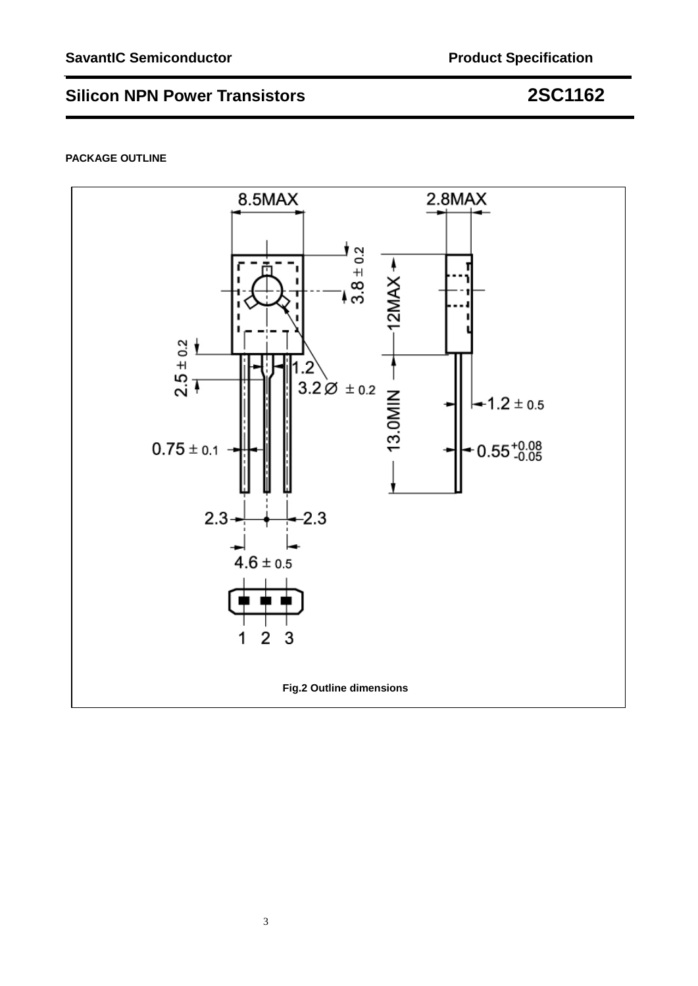### **PACKAGE OUTLINE**